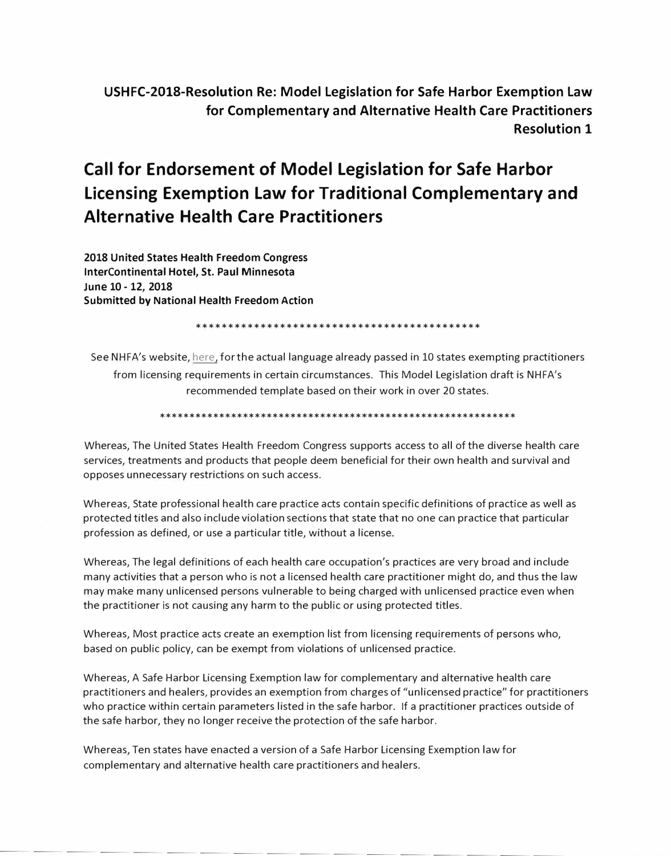USHFC-2018-Resolution Re: Model Legislation for Safe Harbor Exemption Law for Complementary and Alternative Health Care Practitioners **Resolution 1** 

# **Call for Endorsement of Model Legislation for Safe Harbor** Licensing Exemption Law for Traditional Complementary and **Alternative Health Care Practitioners**

2018 United States Health Freedom Congress InterContinental Hotel, St. Paul Minnesota lune 10 - 12, 2018 **Submitted by National Health Freedom Action** 

See NHFA's website, here, for the actual language already passed in 10 states exempting practitioners from licensing requirements in certain circumstances. This Model Legislation draft is NHFA's recommended template based on their work in over 20 states.

Whereas, The United States Health Freedom Congress supports access to all of the diverse health care services, treatments and products that people deem beneficial for their own health and survival and opposes unnecessary restrictions on such access.

Whereas, State professional health care practice acts contain specific definitions of practice as well as protected titles and also include violation sections that state that no one can practice that particular profession as defined, or use a particular title, without a license.

Whereas, The legal definitions of each health care occupation's practices are very broad and include many activities that a person who is not a licensed health care practitioner might do, and thus the law may make many unlicensed persons vulnerable to being charged with unlicensed practice even when the practitioner is not causing any harm to the public or using protected titles.

Whereas, Most practice acts create an exemption list from licensing requirements of persons who, based on public policy, can be exempt from violations of unlicensed practice.

Whereas, A Safe Harbor Licensing Exemption law for complementary and alternative health care practitioners and healers, provides an exemption from charges of "unlicensed practice" for practitioners who practice within certain parameters listed in the safe harbor. If a practitioner practices outside of the safe harbor, they no longer receive the protection of the safe harbor.

Whereas, Ten states have enacted a version of a Safe Harbor Licensing Exemption law for complementary and alternative health care practitioners and healers.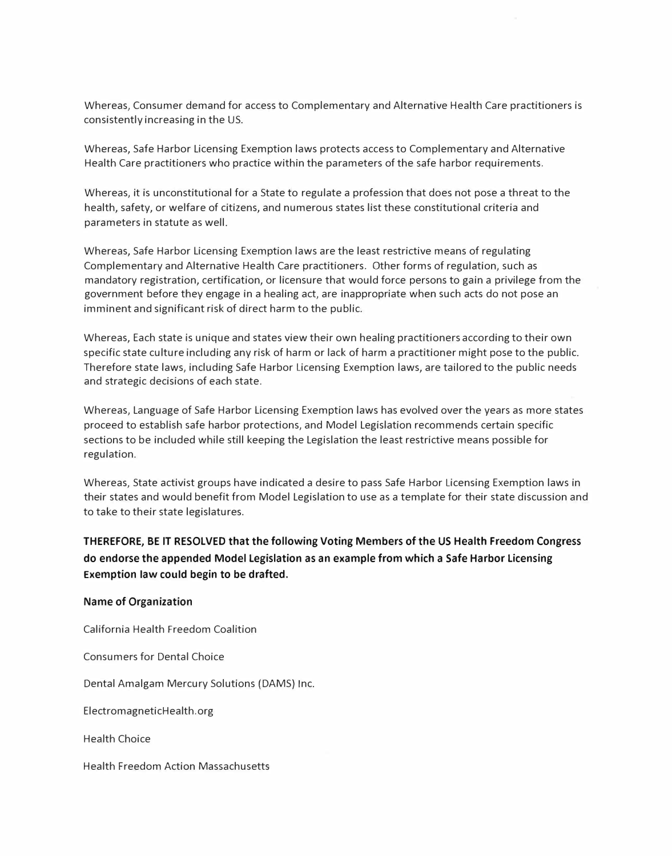Whereas, Consumer demand for access to Complementary and Alternative Health Care practitioners is consistently increasing in the US.

Whereas, Safe Harbor Licensing Exemption laws protects access to Complementary and Alternative Health Care practitioners who practice within the parameters of the safe harbor requirements.

Whereas, it is unconstitutional for a State to regulate a profession that does not pose a threat to the health, safety, or welfare of citizens, and numerous states list these constitutional criteria and parameters in statute as well.

Whereas, Safe Harbor Licensing Exemption laws are the least restrictive means of regulating Complementary and Alternative Health Care practitioners. Other forms of regulation, such as mandatory registration, certification, or licensure that would force persons to gain a privilege from the government before they engage in a healing act, are inappropriate when such acts do not pose an imminent and significant risk of direct harm to the public.

Whereas, Each state is unique and states view their own healing practitioners according to their own specific state culture including any risk of harm or lack of harm a practitioner might pose to the public. Therefore state laws, including Safe Harbor Licensing Exemption laws, are tailored to the public needs and strategic decisions of each state.

Whereas, Language of Safe Harbor Licensing Exemption laws has evolved over the years as more states proceed to establish safe harbor protections, and Model Legislation recommends certain specific sections to be included while still keeping the Legislation the least restrictive means possible for regulation.

Whereas, State activist groups have indicated a desire to pass Safe Harbor Licensing Exemption laws in their states and would benefit from Model Legislation to use as a template for their state discussion and to take to their state legislatures.

**THEREFORE, BE IT RESOLVED that the following Voting Members of the US Health Freedom Congress do endorse the appended Model Legislation as an example from which a Safe Harbor Licensing Exemption law could begin to be drafted.** 

#### **Name of Organization**

California Health Freedom Coalition

Consumers for Dental Choice

Dental Amalgam Mercury Solutions (DAMS) Inc.

ElectromagneticHealth.org

Health Choice

Health Freedom Action Massachusetts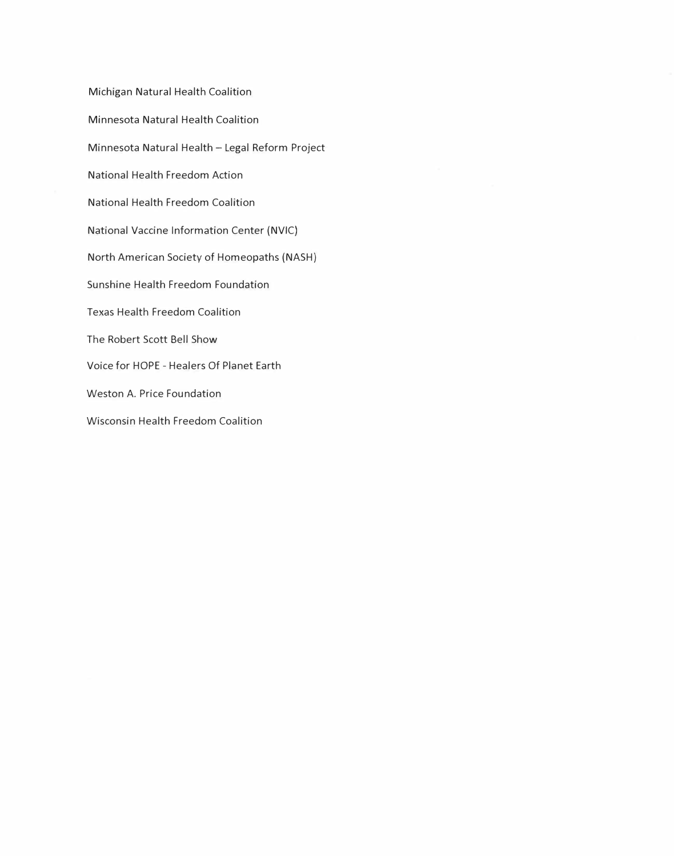Michigan Natural Health Coalition Minnesota Natural Health Coalition Minnesota Natural Health - Legal Reform Project National Health Freedom Action National Health Freedom Coalition National Vaccine Information Center (NVIC) North American Society of Homeopaths (NASH) Sunshine Health Freedom Foundation Texas Health Freedom Coalition The Robert Scott Bell Show Voice for HOPE - Healers Of Planet Earth Weston A. Price Foundation Wisconsin Health Freedom Coalition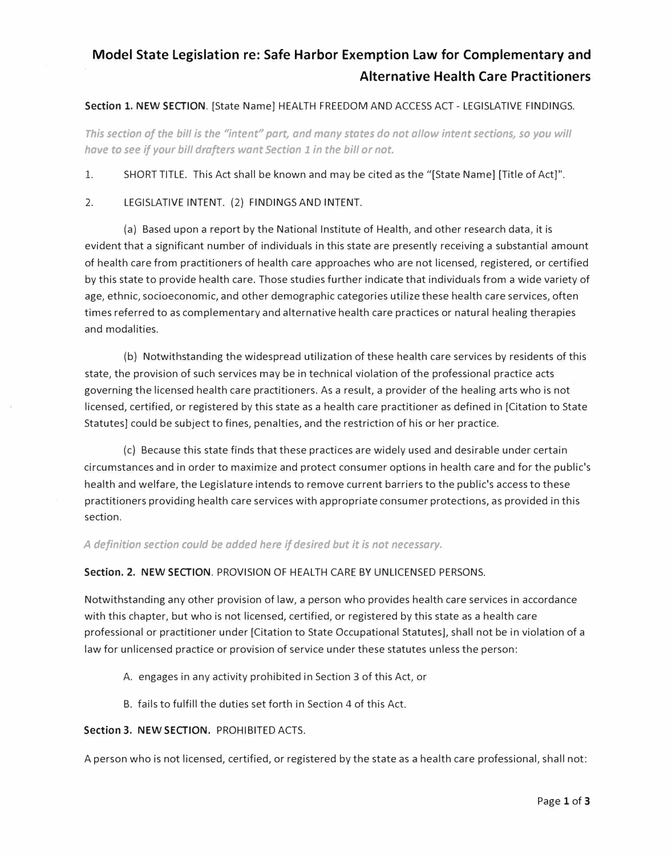## **Model State Legislation re: Safe Harbor Exemption Law for Complementary and Alternative Health Care Practitioners**

#### **Section** 1. **NEW SECTION.** [State Name] HEALTH FREEDOM AND ACCESS ACT - LEGISLATIVE FINDINGS.

*This section of the bill is the "intent" part, and many states do not allow intent sections, so you will have to see if your bill drafters want Section 1 in the bill or not.* 

1. SHORT TITLE. This Act shall be known and may be cited as the "[State Name] [Title of Act]".

2. LEGISLATIVE INTENT. (2) FINDINGS AND INTENT.

(a) Based upon a report by the National Institute of Health, and other research data, it is evident that a significant number of individuals in this state are presently receiving a substantial amount of health care from practitioners of health care approaches who are not licensed, registered, or certified by this state to provide health care. Those studies further indicate that individuals from a wide variety of age, ethnic, socioeconomic, and other demographic categories utilize these health care services, often times referred to as complementary and alternative health care practices or natural healing therapies and modalities.

(b) Notwithstanding the widespread utilization of these health care services by residents of this state, the provision of such services may be in technical violation of the professional practice acts governing the licensed health care practitioners. As a result, a provider of the healing arts who is not licensed, certified, or registered by this state as a health care practitioner as defined in [Citation to State Statutes] could be subject to fines, penalties, and the restriction of his or her practice.

(c) Because this state finds that these practices are widely used and desirable under certain circumstances and in order to maximize and protect consumer options in health care and for the public's health and welfare, the Legislature intends to remove current barriers to the public's access to these practitioners providing health care services with appropriate consumer protections, as provided in this section.

*A definition section could be added here if desired but it is not necessary.* 

#### **Section. 2. NEW SECTION.** PROVISION OF HEALTH CARE BY UNLICENSED PERSONS.

Notwithstanding any other provision of law, a person who provides health care services in accordance with this chapter, but who is not licensed, certified, or registered by this state as a health care professional or practitioner under [Citation to State Occupational Statutes], shall not be in violation of a law for unlicensed practice or provision of service under these statutes unless the person:

- A. engages in any activity prohibited in Section 3 of this Act, or
- B. fails to fulfill the duties set forth in Section 4 of this Act.

#### **Section 3. NEW SECTION.** PROHIBITED ACTS.

A person who is not licensed, certified, or registered by the state as a health care professional, shall not: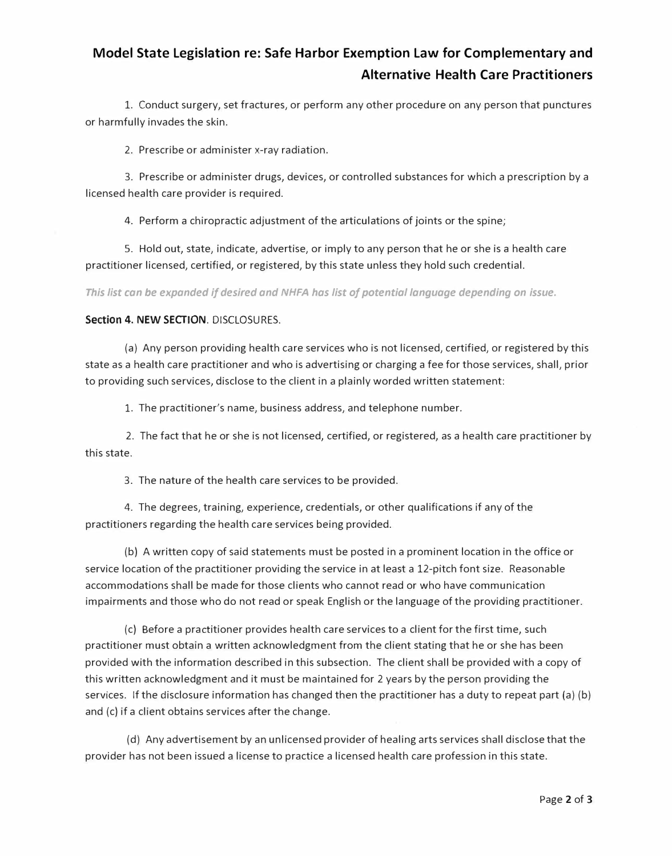# **Model State Legislation re: Safe Harbor Exemption Law for Complementary and Alternative Health Care Practitioners**

1. Conduct surgery, set fractures, or perform any other procedure on any person that punctures or harmfully invades the skin.

2. Prescribe or administer x-ray radiation.

3. Prescribe or administer drugs, devices, or controlled substances for which a prescription by a licensed health care provider is required.

4. Perform a chiropractic adjustment of the articulations of joints or the spine;

5. Hold out, state, indicate, advertise, or imply to any person that he or she is a health care practitioner licensed, certified, or registered, by this state unless they hold such credential.

*This list can be expanded if desired and NHFA has list of potential language depending on issue.* 

#### **Section 4. NEW SECTION.** DISCLOSURES.

(a) Any person providing health care services who is not licensed, certified, or registered by this state as a health care practitioner and who is advertising or charging a fee for those services, shall, prior to providing such services, disclose to the client in a plainly worded written statement:

1. The practitioner's name, business address, and telephone number.

2. The fact that he or she is not licensed, certified, or registered, as a health care practitioner by this state.

3. The nature of the health care services to be provided.

4. The degrees, training, experience, credentials, or other qualifications if any of the practitioners regarding the health care services being provided.

(b) A written copy of said statements must be posted in a prominent location in the office or service location of the practitioner providing the service in at least a 12-pitch font size. Reasonable accommodations shall be made for those clients who cannot read or who have communication impairments and those who do not read or speak English or the language of the providing practitioner.

(c) Before a practitioner provides health care services to a client for the first time, such practitioner must obtain a written acknowledgment from the client stating that he or she has been provided with the information described in this subsection. The client shall be provided with a copy of this written acknowledgment and it must be maintained for 2 years by the person providing the services. If the disclosure information has changed then the practitioner has a duty to repeat part (a) (b) and (c) if a client obtains services after the change.

(d) Any advertisement by an unlicensed provider of healing arts services shall disclose that the provider has not been issued a license to practice a licensed health care profession in this state.